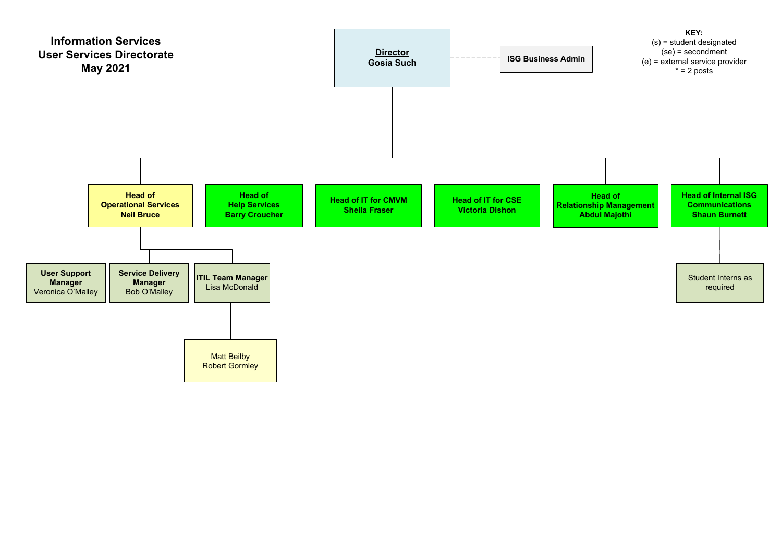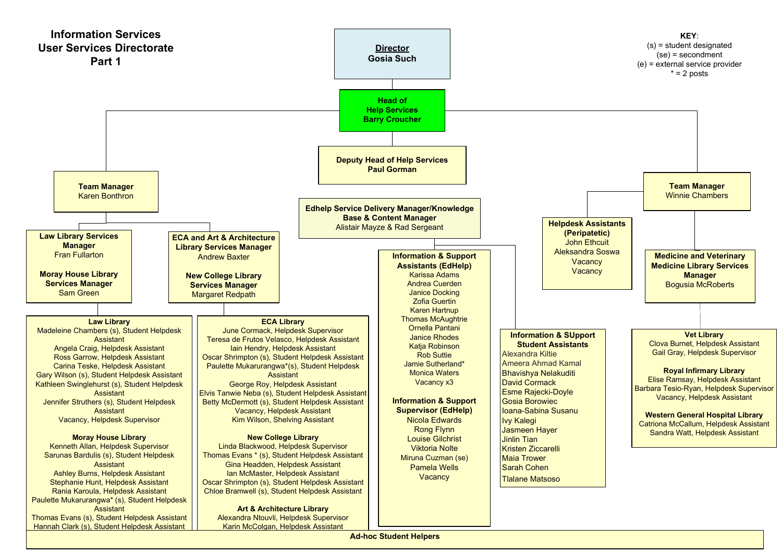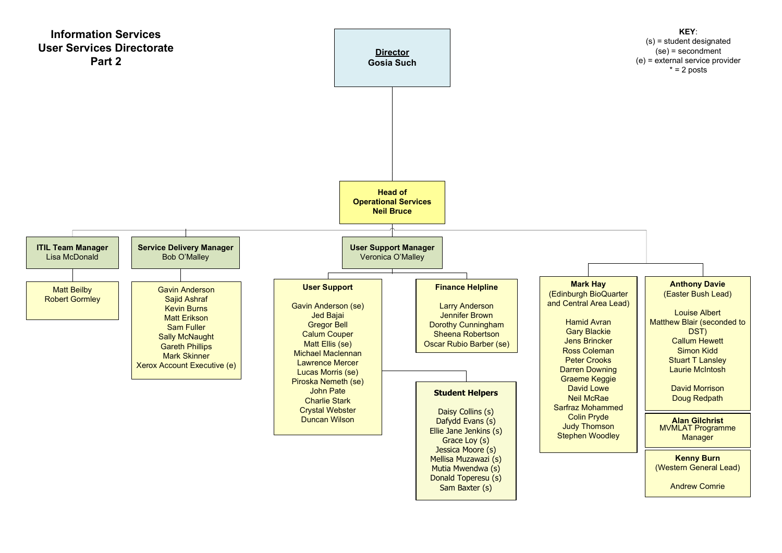